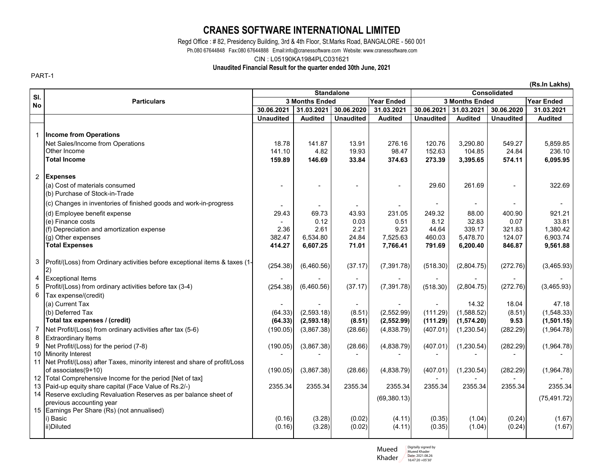## **CRANES SOFTWARE INTERNATIONAL LIMITED**

Regd Office : # 82, Presidency Building, 3rd & 4th Floor, St.Marks Road, BANGALORE - 560 001

Ph.080 67644848 Fax:080 67644888 Email:info@cranessoftware.com Website: www.cranessoftware.com

CIN : L05190KA1984PLC031621

## **Unaudited Financial Result for the quarter ended 30th June, 2021**

PART-1

**(Rs.In Lakhs) Year Ended Year Ended 3 Months Ended 3 Months Ended 30.06.2021 31.03.2021 30.06.2020 31.03.2021 30.06.2021 31.03.2021 30.06.2020 31.03.2021 Unaudited Audited Unaudited Audited Unaudited Audited Unaudited Audited** 1 **Income from Operations** Net Sales/Income from Operations 15.859.85 141.87 | 141.87 13.91 141.87 | 13.91 | 276.16 | 120.76 | 3,290.80 | 549.27 | 5,859.85 Other Income 4.82 141.10 19.93 98.47 152.63 104.85 24.84 236.10 **Total Income 146.69 159.89 33.84 374.63 273.39 3,395.65 574.11 6,095.95**  2 **Expenses** (a) Cost of materials consumed and the set of the cost of materials consumed the cost of materials consumed the cost of the cost of the cost of the cost of materials consumed the cost of the cost of the cost of the cost of (b) Purchase of Stock-in-Trade (c) Changes in inventories of finished goods and work-in-progress - - - - - - - - (d) Employee benefit expense 69.23 Contract the Contract of the Contract of the Contract of the Contract of the Contract of the Contract of the Contract of the Contract of the Contract of the Contract of the Contract of th (e) Finance costs 0.12 - 0.03 0.51 8.12 32.83 0.07 33.81 (f) Depreciation and amortization expense 2.622 2.36 2.61 2.61 2.21 3.23 44.64 339.17 321.83 1,380.42 (g) Other expenses 382.47 | 6,534.80 | 24.84 | 7,525.63 | 460.03 | 5,478.70 | 124.07 | 6,903.74 **Total Expenses 6,607.25 414.27 71.01 7,766.41 791.69 6,200.40 846.87 9,561.88**  3 Profit/(Loss) from Ordinary activities before exceptional items & taxes (1- 2) (254.38) (6,460.56) (37.17) (7,391.78) (518.30) (2,804.75) (272.76) (3,465.93) 4 |Exceptional Items | - | - - | - | - | - | - | -5 Profit/(Loss) from ordinary activities before tax (3-4) (254.38) (6,460.56) (37.17) (7,391.78) (518.30) (2,804.75) (272.76) (3,465.93) 6 Tax expense/(credit) (a) Current Tax - - - - - 14.32 18.04 47.18 (b) Deferred Tax (64.33) (2,593.18) (8.51) (2,552.99) (111.29) (1,588.52) (8.51) (1,548.33) **Total tax expenses / (credit) (64.33) (2,593.18) (8.51) (2,552.99) (111.29) (1,574.20) 9.53 (1,501.15)**  7 Net Profit/(Loss) from ordinary activities after tax (5-6) (190.05) (3,867.38) (28.66) (4,838.79) (407.01) (1,230.54) (282.29) (1,964.78) 8 Extraordinary Items 9 Net Profit/(Loss) for the period (7-8) (190.05) (3,867.38) (28.66) (4,838.79) (407.01) (1,230.54) (282.29) (1,964.78) 10 Minority Interest - - - - - - - - 11 Net Profit/(Loss) after Taxes, minority interest and share of profit/Loss of associates(9+10) (190.05) (3,867.38) (28.66) (4,838.79) (407.01) (1,230.54) (282.29) (1,964.78) 12 Total Comprehensive Income for the period [Net of tax] 13 Paid-up equity share capital (Face Value of Rs.2/-) 2355.34 2355.34 2355.34 2355.34 2355.34 2355.34 2355.34 2355.34 14 Reserve excluding Revaluation Reserves as per balance sheet of  $\frac{1}{2}$  (69,380.13) (75,491.72) (75,491.72) (75,491.72) (75,491.72) 15 Earnings Per Share (Rs) (not annualised) i) Basic (3.28) (0.16) (0.02) (4.11) (0.35) (1.04) (0.24) (1.67) ii)Diluted (3.28) (0.16) (0.02) (4.11) (0.35) (1.04) (0.24) (1.67) **Sl. No Particulars Standalone Consolidated**

> Mueed Khader Digitally signed by Mueed Khader Date: 2021.08.26 16:47:20 +05'30'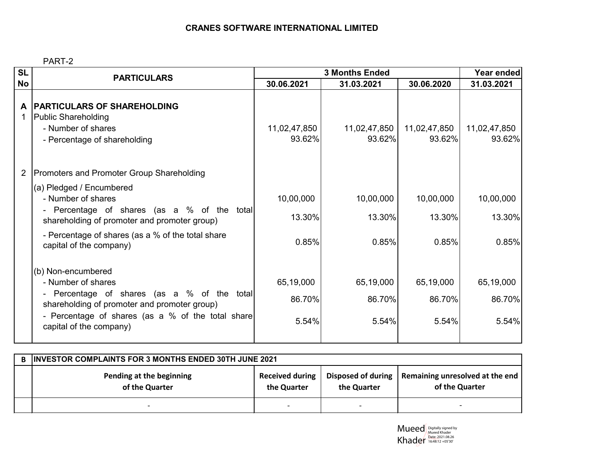PART-2

| <b>SL</b>      | <b>PARTICULARS</b>                                                                                                                                                                                                            | <b>3 Months Ended</b>        |                              |                              | Year ended                   |
|----------------|-------------------------------------------------------------------------------------------------------------------------------------------------------------------------------------------------------------------------------|------------------------------|------------------------------|------------------------------|------------------------------|
| <b>No</b>      |                                                                                                                                                                                                                               | 30.06.2021                   | 31.03.2021                   | 30.06.2020                   | 31.03.2021                   |
| A<br>1         | <b>PARTICULARS OF SHAREHOLDING</b><br>Public Shareholding<br>- Number of shares<br>- Percentage of shareholding                                                                                                               | 11,02,47,850<br>93.62%       | 11,02,47,850<br>93.62%       | 11,02,47,850<br>93.62%       | 11,02,47,850<br>93.62%       |
| $\overline{2}$ | Promoters and Promoter Group Shareholding                                                                                                                                                                                     |                              |                              |                              |                              |
|                | (a) Pledged / Encumbered<br>- Number of shares<br>- Percentage of shares (as a % of the total<br>shareholding of promoter and promoter group)<br>- Percentage of shares (as a % of the total share<br>capital of the company) | 10,00,000<br>13.30%<br>0.85% | 10,00,000<br>13.30%<br>0.85% | 10,00,000<br>13.30%<br>0.85% | 10,00,000<br>13.30%<br>0.85% |
|                | (b) Non-encumbered<br>- Number of shares<br>Percentage of shares (as a % of the total<br>shareholding of promoter and promoter group)<br>- Percentage of shares (as a % of the total share<br>capital of the company)         | 65,19,000<br>86.70%<br>5.54% | 65,19,000<br>86.70%<br>5.54% | 65,19,000<br>86.70%<br>5.54% | 65,19,000<br>86.70%<br>5.54% |

| B. | <b>INVESTOR COMPLAINTS FOR 3 MONTHS ENDED 30TH JUNE 2021</b> |                                       |                                   |                                                   |  |  |
|----|--------------------------------------------------------------|---------------------------------------|-----------------------------------|---------------------------------------------------|--|--|
|    | Pending at the beginning<br>of the Quarter                   | <b>Received during</b><br>the Quarter | Disposed of during<br>the Quarter | Remaining unresolved at the end<br>of the Quarter |  |  |
|    |                                                              | $\overline{\phantom{0}}$              |                                   |                                                   |  |  |

Mueed Khader Digitally signed by Mueed Khader Date: 2021.08.26 16:48:12 +05'30'